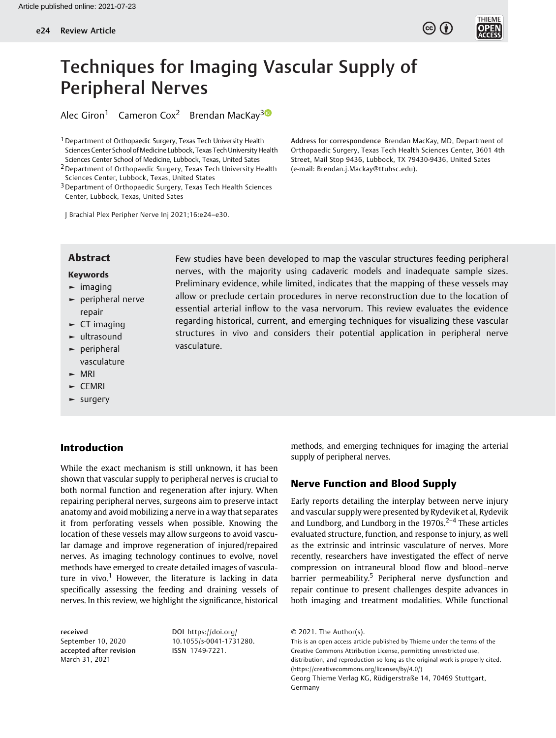



# Techniques for Imaging Vascular Supply of Peripheral Nerves

Alec Giron<sup>1</sup> Cameron Cox<sup>2</sup> Brendan MacKay<sup>3</sup><sup>®</sup>

<sup>1</sup> Department of Orthopaedic Surgery, Texas Tech University Health Sciences Center School of Medicine Lubbock, Texas Tech University Health Sciences Center School of Medicine, Lubbock, Texas, United Sates 2Department of Orthopaedic Surgery, Texas Tech University Health

Sciences Center, Lubbock, Texas, United States

3Department of Orthopaedic Surgery, Texas Tech Health Sciences Center, Lubbock, Texas, United Sates

Address for correspondence Brendan MacKay, MD, Department of Orthopaedic Surgery, Texas Tech Health Sciences Center, 3601 4th Street, Mail Stop 9436, Lubbock, TX 79430-9436, United Sates (e-mail: [Brendan.j.Mackay@ttuhsc.edu](mailto:Brendan.j.Mackay@ttuhsc.edu)).

J Brachial Plex Peripher Nerve Inj 2021;16:e24–e30.

## **Abstract** Few studies have been developed to map the vascular structures feeding peripheral

## Keywords

- $\blacktriangleright$  imaging
- ► peripheral nerve repair
- $\blacktriangleright$  CT imaging
- ► ultrasound
- ► peripheral vasculature
- ► MRI
- ► CEMRI
- ► surgery

# Introduction

While the exact mechanism is still unknown, it has been shown that vascular supply to peripheral nerves is crucial to both normal function and regeneration after injury. When repairing peripheral nerves, surgeons aim to preserve intact anatomy and avoid mobilizing a nerve in a way that separates it from perforating vessels when possible. Knowing the location of these vessels may allow surgeons to avoid vascular damage and improve regeneration of injured/repaired nerves. As imaging technology continues to evolve, novel methods have emerged to create detailed images of vasculature in vivo.<sup>1</sup> However, the literature is lacking in data specifically assessing the feeding and draining vessels of nerves. In this review, we highlight the significance, historical

received September 10, 2020 accepted after revision March 31, 2021

DOI [https://doi.org/](https://doi.org/10.1055/s-0041-1731280) [10.1055/s-0041-1731280](https://doi.org/10.1055/s-0041-1731280). ISSN 1749-7221.

allow or preclude certain procedures in nerve reconstruction due to the location of essential arterial inflow to the vasa nervorum. This review evaluates the evidence regarding historical, current, and emerging techniques for visualizing these vascular structures in vivo and considers their potential application in peripheral nerve vasculature.

nerves, with the majority using cadaveric models and inadequate sample sizes. Preliminary evidence, while limited, indicates that the mapping of these vessels may

> methods, and emerging techniques for imaging the arterial supply of peripheral nerves.

# Nerve Function and Blood Supply

Early reports detailing the interplay between nerve injury and vascular supply were presented by Rydevik et al, Rydevik and Lundborg, and Lundborg in the  $1970s<sup>2-4</sup>$  These articles evaluated structure, function, and response to injury, as well as the extrinsic and intrinsic vasculature of nerves. More recently, researchers have investigated the effect of nerve compression on intraneural blood flow and blood–nerve barrier permeability.<sup>5</sup> Peripheral nerve dysfunction and repair continue to present challenges despite advances in both imaging and treatment modalities. While functional

This is an open access article published by Thieme under the terms of the Creative Commons Attribution License, permitting unrestricted use, distribution, and reproduction so long as the original work is properly cited. (https://creativecommons.org/licenses/by/4.0/) Georg Thieme Verlag KG, Rüdigerstraße 14, 70469 Stuttgart, Germany

<sup>© 2021.</sup> The Author(s).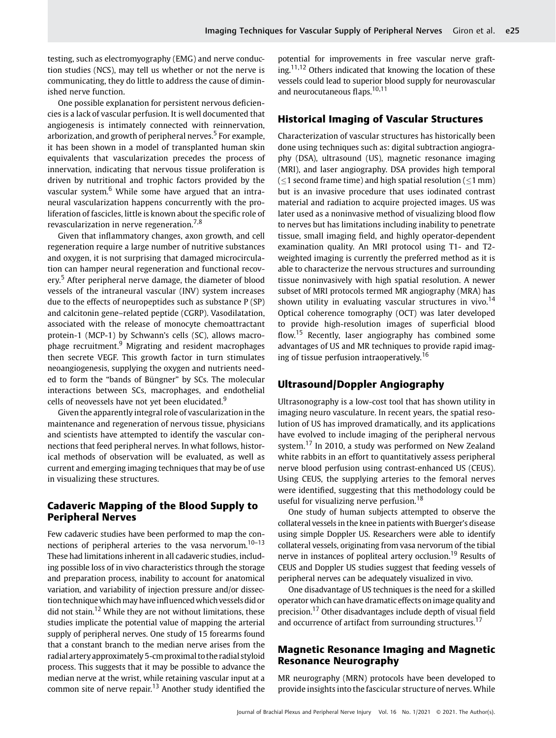testing, such as electromyography (EMG) and nerve conduction studies (NCS), may tell us whether or not the nerve is communicating, they do little to address the cause of diminished nerve function.

One possible explanation for persistent nervous deficiencies is a lack of vascular perfusion. It is well documented that angiogenesis is intimately connected with reinnervation, arborization, and growth of peripheral nerves.<sup>5</sup> For example, it has been shown in a model of transplanted human skin equivalents that vascularization precedes the process of innervation, indicating that nervous tissue proliferation is driven by nutritional and trophic factors provided by the vascular system.<sup>6</sup> While some have argued that an intraneural vascularization happens concurrently with the proliferation of fascicles, little is known about the specific role of revascularization in nerve regeneration.7,8

Given that inflammatory changes, axon growth, and cell regeneration require a large number of nutritive substances and oxygen, it is not surprising that damaged microcirculation can hamper neural regeneration and functional recovery.<sup>5</sup> After peripheral nerve damage, the diameter of blood vessels of the intraneural vascular (INV) system increases due to the effects of neuropeptides such as substance P (SP) and calcitonin gene–related peptide (CGRP). Vasodilatation, associated with the release of monocyte chemoattractant protein-1 (MCP-1) by Schwann's cells (SC), allows macrophage recruitment.<sup>9</sup> Migrating and resident macrophages then secrete VEGF. This growth factor in turn stimulates neoangiogenesis, supplying the oxygen and nutrients needed to form the "bands of Büngner" by SCs. The molecular interactions between SCs, macrophages, and endothelial cells of neovessels have not yet been elucidated.<sup>9</sup>

Given the apparently integral role of vascularization in the maintenance and regeneration of nervous tissue, physicians and scientists have attempted to identify the vascular connections that feed peripheral nerves. In what follows, historical methods of observation will be evaluated, as well as current and emerging imaging techniques that may be of use in visualizing these structures.

# Cadaveric Mapping of the Blood Supply to Peripheral Nerves

Few cadaveric studies have been performed to map the connections of peripheral arteries to the vasa nervorum.<sup>10-13</sup> These had limitations inherent in all cadaveric studies, including possible loss of in vivo characteristics through the storage and preparation process, inability to account for anatomical variation, and variability of injection pressure and/or dissection technique which may have influenced which vessels did or did not stain.<sup>12</sup> While they are not without limitations, these studies implicate the potential value of mapping the arterial supply of peripheral nerves. One study of 15 forearms found that a constant branch to the median nerve arises from the radial artery approximately 5-cm proximal to the radial styloid process. This suggests that it may be possible to advance the median nerve at the wrist, while retaining vascular input at a common site of nerve repair.<sup>13</sup> Another study identified the potential for improvements in free vascular nerve grafting.<sup>11,12</sup> Others indicated that knowing the location of these vessels could lead to superior blood supply for neurovascular and neurocutaneous flaps.<sup>10,11</sup>

## Historical Imaging of Vascular Structures

Characterization of vascular structures has historically been done using techniques such as: digital subtraction angiography (DSA), ultrasound (US), magnetic resonance imaging (MRI), and laser angiography. DSA provides high temporal ( $\leq$ 1 second frame time) and high spatial resolution ( $\leq$ 1 mm) but is an invasive procedure that uses iodinated contrast material and radiation to acquire projected images. US was later used as a noninvasive method of visualizing blood flow to nerves but has limitations including inability to penetrate tissue, small imaging field, and highly operator-dependent examination quality. An MRI protocol using T1- and T2 weighted imaging is currently the preferred method as it is able to characterize the nervous structures and surrounding tissue noninvasively with high spatial resolution. A newer subset of MRI protocols termed MR angiography (MRA) has shown utility in evaluating vascular structures in vivo.<sup>14</sup> Optical coherence tomography (OCT) was later developed to provide high-resolution images of superficial blood flow.<sup>15</sup> Recently, laser angiography has combined some advantages of US and MR techniques to provide rapid imaging of tissue perfusion intraoperatively.<sup>16</sup>

# Ultrasound/Doppler Angiography

Ultrasonography is a low-cost tool that has shown utility in imaging neuro vasculature. In recent years, the spatial resolution of US has improved dramatically, and its applications have evolved to include imaging of the peripheral nervous system.<sup>17</sup> In 2010, a study was performed on New Zealand white rabbits in an effort to quantitatively assess peripheral nerve blood perfusion using contrast-enhanced US (CEUS). Using CEUS, the supplying arteries to the femoral nerves were identified, suggesting that this methodology could be useful for visualizing nerve perfusion.<sup>18</sup>

One study of human subjects attempted to observe the collateral vessels in the knee in patients with Buerger's disease using simple Doppler US. Researchers were able to identify collateral vessels, originating from vasa nervorum of the tibial nerve in instances of popliteal artery occlusion.<sup>19</sup> Results of CEUS and Doppler US studies suggest that feeding vessels of peripheral nerves can be adequately visualized in vivo.

One disadvantage of US techniques is the need for a skilled operator which can have dramatic effects on image quality and precision.<sup>17</sup> Other disadvantages include depth of visual field and occurrence of artifact from surrounding structures.<sup>17</sup>

# Magnetic Resonance Imaging and Magnetic Resonance Neurography

MR neurography (MRN) protocols have been developed to provide insights into the fascicular structure of nerves. While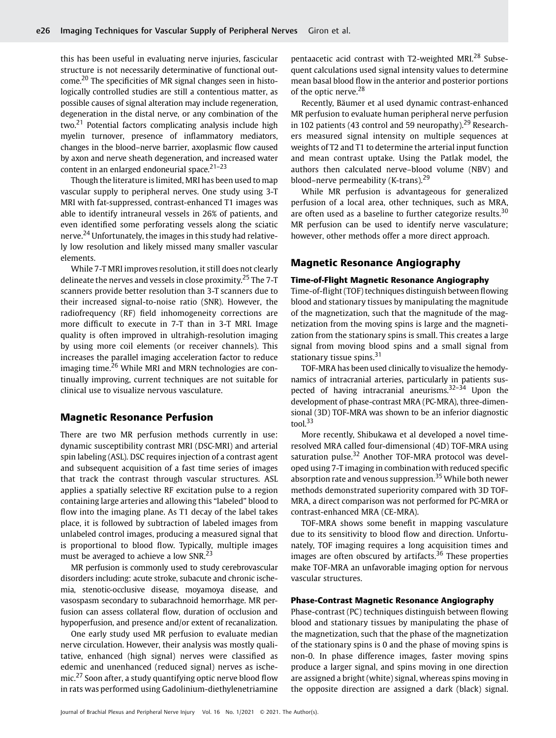this has been useful in evaluating nerve injuries, fascicular structure is not necessarily determinative of functional outcome.<sup>20</sup> The specificities of MR signal changes seen in histologically controlled studies are still a contentious matter, as possible causes of signal alteration may include regeneration, degeneration in the distal nerve, or any combination of the two.<sup>21</sup> Potential factors complicating analysis include high myelin turnover, presence of inflammatory mediators, changes in the blood–nerve barrier, axoplasmic flow caused by axon and nerve sheath degeneration, and increased water content in an enlarged endoneurial space. $21-23$ 

Though the literature is limited, MRI has been used to map vascular supply to peripheral nerves. One study using 3-T MRI with fat-suppressed, contrast-enhanced T1 images was able to identify intraneural vessels in 26% of patients, and even identified some perforating vessels along the sciatic nerve.<sup>24</sup> Unfortunately, the images in this study had relatively low resolution and likely missed many smaller vascular elements.

While 7-T MRI improves resolution, it still does not clearly delineate the nerves and vessels in close proximity.<sup>25</sup> The 7-T scanners provide better resolution than 3-T scanners due to their increased signal-to-noise ratio (SNR). However, the radiofrequency (RF) field inhomogeneity corrections are more difficult to execute in 7-T than in 3-T MRI. Image quality is often improved in ultrahigh-resolution imaging by using more coil elements (or receiver channels). This increases the parallel imaging acceleration factor to reduce imaging time.<sup>26</sup> While MRI and MRN technologies are continually improving, current techniques are not suitable for clinical use to visualize nervous vasculature.

## Magnetic Resonance Perfusion

There are two MR perfusion methods currently in use: dynamic susceptibility contrast MRI (DSC-MRI) and arterial spin labeling (ASL). DSC requires injection of a contrast agent and subsequent acquisition of a fast time series of images that track the contrast through vascular structures. ASL applies a spatially selective RF excitation pulse to a region containing large arteries and allowing this "labeled" blood to flow into the imaging plane. As T1 decay of the label takes place, it is followed by subtraction of labeled images from unlabeled control images, producing a measured signal that is proportional to blood flow. Typically, multiple images must be averaged to achieve a low SNR.<sup>23</sup>

MR perfusion is commonly used to study cerebrovascular disorders including: acute stroke, subacute and chronic ischemia, stenotic-occlusive disease, moyamoya disease, and vasospasm secondary to subarachnoid hemorrhage. MR perfusion can assess collateral flow, duration of occlusion and hypoperfusion, and presence and/or extent of recanalization.

One early study used MR perfusion to evaluate median nerve circulation. However, their analysis was mostly qualitative, enhanced (high signal) nerves were classified as edemic and unenhanced (reduced signal) nerves as ischemic.<sup>27</sup> Soon after, a study quantifying optic nerve blood flow in rats was performed using Gadolinium-diethylenetriamine pentaacetic acid contrast with T2-weighted MRI.<sup>28</sup> Subsequent calculations used signal intensity values to determine mean basal blood flow in the anterior and posterior portions of the optic nerve.<sup>28</sup>

Recently, Bäumer et al used dynamic contrast-enhanced MR perfusion to evaluate human peripheral nerve perfusion in 102 patients (43 control and 59 neuropathy).<sup>29</sup> Researchers measured signal intensity on multiple sequences at weights of T2 and T1 to determine the arterial input function and mean contrast uptake. Using the Patlak model, the authors then calculated nerve–blood volume (NBV) and blood–nerve permeability (K-trans). $29$ 

While MR perfusion is advantageous for generalized perfusion of a local area, other techniques, such as MRA, are often used as a baseline to further categorize results.<sup>30</sup> MR perfusion can be used to identify nerve vasculature; however, other methods offer a more direct approach.

## Magnetic Resonance Angiography

#### Time-of-Flight Magnetic Resonance Angiography

Time-of-flight (TOF) techniques distinguish between flowing blood and stationary tissues by manipulating the magnitude of the magnetization, such that the magnitude of the magnetization from the moving spins is large and the magnetization from the stationary spins is small. This creates a large signal from moving blood spins and a small signal from stationary tissue spins.<sup>31</sup>

TOF-MRA has been used clinically to visualize the hemodynamics of intracranial arteries, particularly in patients suspected of having intracranial aneurisms.<sup>32–34</sup> Upon the development of phase-contrast MRA (PC-MRA), three-dimensional (3D) TOF-MRA was shown to be an inferior diagnostic tool.<sup>33</sup>

More recently, Shibukawa et al developed a novel timeresolved MRA called four-dimensional (4D) TOF-MRA using saturation pulse.<sup>32</sup> Another TOF-MRA protocol was developed using 7-T imaging in combination with reduced specific absorption rate and venous suppression.<sup>35</sup> While both newer methods demonstrated superiority compared with 3D TOF-MRA, a direct comparison was not performed for PC-MRA or contrast-enhanced MRA (CE-MRA).

TOF-MRA shows some benefit in mapping vasculature due to its sensitivity to blood flow and direction. Unfortunately, TOF imaging requires a long acquisition times and images are often obscured by artifacts.<sup>36</sup> These properties make TOF-MRA an unfavorable imaging option for nervous vascular structures.

#### Phase-Contrast Magnetic Resonance Angiography

Phase-contrast (PC) techniques distinguish between flowing blood and stationary tissues by manipulating the phase of the magnetization, such that the phase of the magnetization of the stationary spins is 0 and the phase of moving spins is non-0. In phase difference images, faster moving spins produce a larger signal, and spins moving in one direction are assigned a bright (white) signal, whereas spins moving in the opposite direction are assigned a dark (black) signal.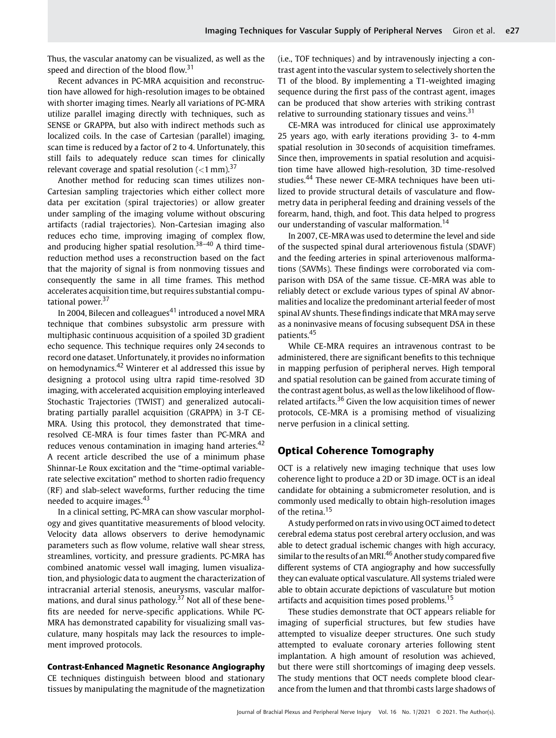Thus, the vascular anatomy can be visualized, as well as the speed and direction of the blood flow.<sup>31</sup>

Recent advances in PC-MRA acquisition and reconstruction have allowed for high-resolution images to be obtained with shorter imaging times. Nearly all variations of PC-MRA utilize parallel imaging directly with techniques, such as SENSE or GRAPPA, but also with indirect methods such as localized coils. In the case of Cartesian (parallel) imaging, scan time is reduced by a factor of 2 to 4. Unfortunately, this still fails to adequately reduce scan times for clinically relevant coverage and spatial resolution  $(<1$  mm).<sup>37</sup>

Another method for reducing scan times utilizes non-Cartesian sampling trajectories which either collect more data per excitation (spiral trajectories) or allow greater under sampling of the imaging volume without obscuring artifacts (radial trajectories). Non-Cartesian imaging also reduces echo time, improving imaging of complex flow, and producing higher spatial resolution.<sup>38-40</sup> A third timereduction method uses a reconstruction based on the fact that the majority of signal is from nonmoving tissues and consequently the same in all time frames. This method accelerates acquisition time, but requires substantial computational power.<sup>37</sup>

In 2004, Bilecen and colleagues<sup>41</sup> introduced a novel MRA technique that combines subsystolic arm pressure with multiphasic continuous acquisition of a spoiled 3D gradient echo sequence. This technique requires only 24 seconds to record one dataset. Unfortunately, it provides no information on hemodynamics.<sup>42</sup> Winterer et al addressed this issue by designing a protocol using ultra rapid time-resolved 3D imaging, with accelerated acquisition employing interleaved Stochastic Trajectories (TWIST) and generalized autocalibrating partially parallel acquisition (GRAPPA) in 3-T CE-MRA. Using this protocol, they demonstrated that timeresolved CE-MRA is four times faster than PC-MRA and reduces venous contamination in imaging hand arteries.<sup>42</sup> A recent article described the use of a minimum phase Shinnar-Le Roux excitation and the "time‐optimal variable‐ rate selective excitation" method to shorten radio frequency (RF) and slab‐select waveforms, further reducing the time needed to acquire images.<sup>43</sup>

In a clinical setting, PC-MRA can show vascular morphology and gives quantitative measurements of blood velocity. Velocity data allows observers to derive hemodynamic parameters such as flow volume, relative wall shear stress, streamlines, vorticity, and pressure gradients. PC-MRA has combined anatomic vessel wall imaging, lumen visualization, and physiologic data to augment the characterization of intracranial arterial stenosis, aneurysms, vascular malformations, and dural sinus pathology.<sup>37</sup> Not all of these benefits are needed for nerve-specific applications. While PC-MRA has demonstrated capability for visualizing small vasculature, many hospitals may lack the resources to implement improved protocols.

## Contrast-Enhanced Magnetic Resonance Angiography

CE techniques distinguish between blood and stationary tissues by manipulating the magnitude of the magnetization (i.e., TOF techniques) and by intravenously injecting a contrast agent into the vascular system to selectively shorten the T1 of the blood. By implementing a T1-weighted imaging sequence during the first pass of the contrast agent, images can be produced that show arteries with striking contrast relative to surrounding stationary tissues and veins.<sup>31</sup>

CE-MRA was introduced for clinical use approximately 25 years ago, with early iterations providing 3- to 4-mm spatial resolution in 30 seconds of acquisition timeframes. Since then, improvements in spatial resolution and acquisition time have allowed high-resolution, 3D time-resolved studies.<sup>44</sup> These newer CE-MRA techniques have been utilized to provide structural details of vasculature and flowmetry data in peripheral feeding and draining vessels of the forearm, hand, thigh, and foot. This data helped to progress our understanding of vascular malformation.<sup>14</sup>

In 2007, CE-MRA was used to determine the level and side of the suspected spinal dural arteriovenous fistula (SDAVF) and the feeding arteries in spinal arteriovenous malformations (SAVMs). These findings were corroborated via comparison with DSA of the same tissue. CE-MRA was able to reliably detect or exclude various types of spinal AV abnormalities and localize the predominant arterial feeder of most spinal AV shunts. These findings indicate that MRA may serve as a noninvasive means of focusing subsequent DSA in these patients.<sup>45</sup>

While CE-MRA requires an intravenous contrast to be administered, there are significant benefits to this technique in mapping perfusion of peripheral nerves. High temporal and spatial resolution can be gained from accurate timing of the contrast agent bolus, as well as the low likelihood of flowrelated artifacts.<sup>36</sup> Given the low acquisition times of newer protocols, CE-MRA is a promising method of visualizing nerve perfusion in a clinical setting.

# Optical Coherence Tomography

OCT is a relatively new imaging technique that uses low coherence light to produce a 2D or 3D image. OCT is an ideal candidate for obtaining a submicrometer resolution, and is commonly used medically to obtain high-resolution images of the retina.<sup>15</sup>

A study performed on rats in vivo using OCT aimed to detect cerebral edema status post cerebral artery occlusion, and was able to detect gradual ischemic changes with high accuracy, similar to the results of an MRI.<sup>46</sup> Another study compared five different systems of CTA angiography and how successfully they can evaluate optical vasculature. All systems trialed were able to obtain accurate depictions of vasculature but motion artifacts and acquisition times posed problems.<sup>15</sup>

These studies demonstrate that OCT appears reliable for imaging of superficial structures, but few studies have attempted to visualize deeper structures. One such study attempted to evaluate coronary arteries following stent implantation. A high amount of resolution was achieved, but there were still shortcomings of imaging deep vessels. The study mentions that OCT needs complete blood clearance from the lumen and that thrombi casts large shadows of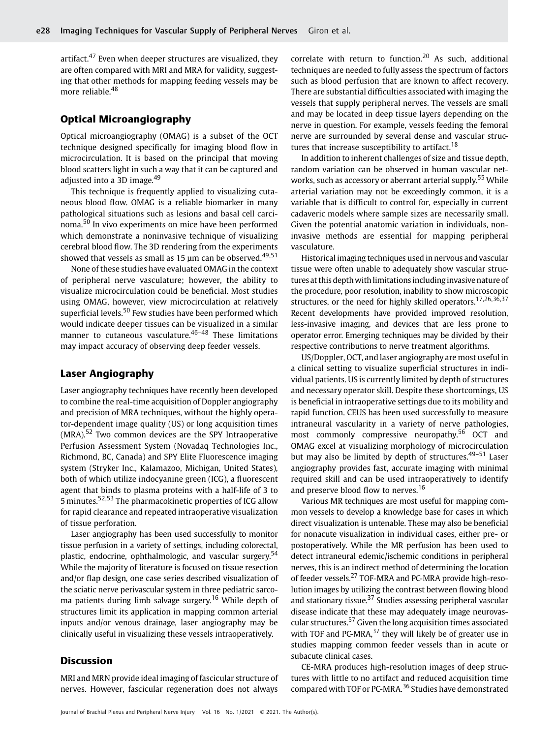artifact.<sup>47</sup> Even when deeper structures are visualized, they are often compared with MRI and MRA for validity, suggesting that other methods for mapping feeding vessels may be more reliable.<sup>48</sup>

# Optical Microangiography

Optical microangiography (OMAG) is a subset of the OCT technique designed specifically for imaging blood flow in microcirculation. It is based on the principal that moving blood scatters light in such a way that it can be captured and adjusted into a 3D image.<sup>49</sup>

This technique is frequently applied to visualizing cutaneous blood flow. OMAG is a reliable biomarker in many pathological situations such as lesions and basal cell carcinoma.<sup>50</sup> In vivo experiments on mice have been performed which demonstrate a noninvasive technique of visualizing cerebral blood flow. The 3D rendering from the experiments showed that vessels as small as 15  $\mu$ m can be observed.<sup>49,51</sup>

None of these studies have evaluated OMAG in the context of peripheral nerve vasculature; however, the ability to visualize microcirculation could be beneficial. Most studies using OMAG, however, view microcirculation at relatively superficial levels.<sup>50</sup> Few studies have been performed which would indicate deeper tissues can be visualized in a similar manner to cutaneous vasculature.<sup>46-48</sup> These limitations may impact accuracy of observing deep feeder vessels.

# Laser Angiography

Laser angiography techniques have recently been developed to combine the real-time acquisition of Doppler angiography and precision of MRA techniques, without the highly operator-dependent image quality (US) or long acquisition times  $(MRA)$ <sup>52</sup> Two common devices are the SPY Intraoperative Perfusion Assessment System (Novadaq Technologies Inc., Richmond, BC, Canada) and SPY Elite Fluorescence imaging system (Stryker Inc., Kalamazoo, Michigan, United States), both of which utilize indocyanine green (ICG), a fluorescent agent that binds to plasma proteins with a half-life of 3 to 5 minutes.52,53 The pharmacokinetic properties of ICG allow for rapid clearance and repeated intraoperative visualization of tissue perforation.

Laser angiography has been used successfully to monitor tissue perfusion in a variety of settings, including colorectal, plastic, endocrine, ophthalmologic, and vascular surgery.<sup>54</sup> While the majority of literature is focused on tissue resection and/or flap design, one case series described visualization of the sciatic nerve perivascular system in three pediatric sarcoma patients during limb salvage surgery.<sup>16</sup> While depth of structures limit its application in mapping common arterial inputs and/or venous drainage, laser angiography may be clinically useful in visualizing these vessels intraoperatively.

## Discussion

MRI and MRN provide ideal imaging of fascicular structure of nerves. However, fascicular regeneration does not always

correlate with return to function.<sup>20</sup> As such, additional techniques are needed to fully assess the spectrum of factors such as blood perfusion that are known to affect recovery. There are substantial difficulties associated with imaging the vessels that supply peripheral nerves. The vessels are small and may be located in deep tissue layers depending on the nerve in question. For example, vessels feeding the femoral nerve are surrounded by several dense and vascular structures that increase susceptibility to artifact.<sup>18</sup>

In addition to inherent challenges of size and tissue depth, random variation can be observed in human vascular networks, such as accessory or aberrant arterial supply.<sup>55</sup> While arterial variation may not be exceedingly common, it is a variable that is difficult to control for, especially in current cadaveric models where sample sizes are necessarily small. Given the potential anatomic variation in individuals, noninvasive methods are essential for mapping peripheral vasculature.

Historical imaging techniques used in nervous and vascular tissue were often unable to adequately show vascular structures at this depth with limitations including invasive nature of the procedure, poor resolution, inability to show microscopic structures, or the need for highly skilled operators.<sup>17,26,36,37</sup> Recent developments have provided improved resolution, less-invasive imaging, and devices that are less prone to operator error. Emerging techniques may be divided by their respective contributions to nerve treatment algorithms.

US/Doppler, OCT, and laser angiography are most useful in a clinical setting to visualize superficial structures in individual patients. US is currently limited by depth of structures and necessary operator skill. Despite these shortcomings, US is beneficial in intraoperative settings due to its mobility and rapid function. CEUS has been used successfully to measure intraneural vascularity in a variety of nerve pathologies, most commonly compressive neuropathy.<sup>56</sup> OCT and OMAG excel at visualizing morphology of microcirculation but may also be limited by depth of structures. $49-51$  Laser angiography provides fast, accurate imaging with minimal required skill and can be used intraoperatively to identify and preserve blood flow to nerves.<sup>16</sup>

Various MR techniques are most useful for mapping common vessels to develop a knowledge base for cases in which direct visualization is untenable. These may also be beneficial for nonacute visualization in individual cases, either pre- or postoperatively. While the MR perfusion has been used to detect intraneural edemic/ischemic conditions in peripheral nerves, this is an indirect method of determining the location of feeder vessels.<sup>27</sup> TOF-MRA and PC-MRA provide high-resolution images by utilizing the contrast between flowing blood and stationary tissue.<sup>37</sup> Studies assessing peripheral vascular disease indicate that these may adequately image neurovascular structures.<sup>57</sup> Given the long acquisition times associated with TOF and PC-MRA, $37$  they will likely be of greater use in studies mapping common feeder vessels than in acute or subacute clinical cases.

CE-MRA produces high-resolution images of deep structures with little to no artifact and reduced acquisition time compared with TOF or PC-MRA.<sup>36</sup> Studies have demonstrated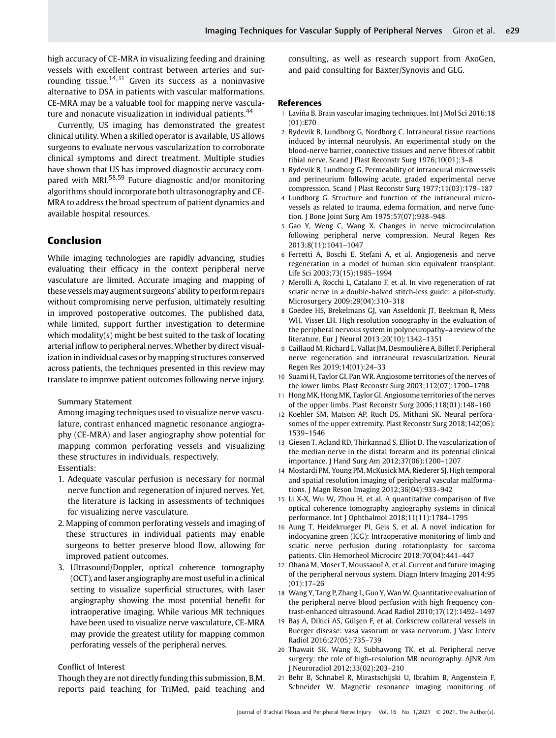high accuracy of CE-MRA in visualizing feeding and draining vessels with excellent contrast between arteries and surrounding tissue.<sup>14,31</sup> Given its success as a noninvasive alternative to DSA in patients with vascular malformations, CE-MRA may be a valuable tool for mapping nerve vasculature and nonacute visualization in individual patients.<sup>44</sup>

Currently, US imaging has demonstrated the greatest clinical utility. When a skilled operator is available, US allows surgeons to evaluate nervous vascularization to corroborate clinical symptoms and direct treatment. Multiple studies have shown that US has improved diagnostic accuracy compared with MRI.<sup>58,59</sup> Future diagnostic and/or monitoring algorithms should incorporate both ultrasonography and CE-MRA to address the broad spectrum of patient dynamics and available hospital resources.

## Conclusion

While imaging technologies are rapidly advancing, studies evaluating their efficacy in the context peripheral nerve vasculature are limited. Accurate imaging and mapping of these vesselsmay augment surgeons' ability to perform repairs without compromising nerve perfusion, ultimately resulting in improved postoperative outcomes. The published data, while limited, support further investigation to determine which modality(s) might be best suited to the task of locating arterial inflow to peripheral nerves. Whether by direct visualization in individual cases or by mapping structures conserved across patients, the techniques presented in this review may translate to improve patient outcomes following nerve injury.

## Summary Statement

Among imaging techniques used to visualize nerve vasculature, contrast enhanced magnetic resonance angiography (CE-MRA) and laser angiography show potential for mapping common perforating vessels and visualizing these structures in individuals, respectively. Essentials:

- 1. Adequate vascular perfusion is necessary for normal nerve function and regeneration of injured nerves. Yet, the literature is lacking in assessments of techniques for visualizing nerve vasculature.
- 2. Mapping of common perforating vessels and imaging of these structures in individual patients may enable surgeons to better preserve blood flow, allowing for improved patient outcomes.
- 3. Ultrasound/Doppler, optical coherence tomography (OCT), andlaser angiography aremost usefulin a clinical setting to visualize superficial structures, with laser angiography showing the most potential benefit for intraoperative imaging. While various MR techniques have been used to visualize nerve vasculature, CE-MRA may provide the greatest utility for mapping common perforating vessels of the peripheral nerves.

#### Conflict of Interest

Though they are not directly funding this submission, B.M. reports paid teaching for TriMed, paid teaching and consulting, as well as research support from AxoGen, and paid consulting for Baxter/Synovis and GLG.

#### References

- 1 Laviña B. Brain vascular imaging techniques. Int J Mol Sci 2016;18 (01):E70
- 2 Rydevik B, Lundborg G, Nordborg C. Intraneural tissue reactions induced by internal neurolysis. An experimental study on the blood-nerve barrier, connective tissues and nerve fibres of rabbit tibial nerve. Scand J Plast Reconstr Surg 1976;10(01):3–8
- 3 Rydevik B, Lundborg G. Permeability of intraneural microvessels and perineurium following acute, graded experimental nerve compression. Scand J Plast Reconstr Surg 1977;11(03):179–187
- 4 Lundborg G. Structure and function of the intraneural microvessels as related to trauma, edema formation, and nerve function. J Bone Joint Surg Am 1975;57(07):938–948
- 5 Gao Y, Weng C, Wang X. Changes in nerve microcirculation following peripheral nerve compression. Neural Regen Res 2013;8(11):1041–1047
- 6 Ferretti A, Boschi E, Stefani A, et al. Angiogenesis and nerve regeneration in a model of human skin equivalent transplant. Life Sci 2003;73(15):1985–1994
- 7 Merolli A, Rocchi L, Catalano F, et al. In vivo regeneration of rat sciatic nerve in a double-halved stitch-less guide: a pilot-study. Microsurgery 2009;29(04):310–318
- 8 Goedee HS, Brekelmans GJ, van Asseldonk JT, Beekman R, Mess WH, Visser LH. High resolution sonography in the evaluation of the peripheral nervous system in polyneuropathy–a review of the literature. Eur J Neurol 2013;20(10):1342–1351
- 9 Caillaud M, Richard L, Vallat JM, Desmoulière A, Billet F. Peripheral nerve regeneration and intraneural revascularization. Neural Regen Res 2019;14(01):24–33
- 10 Suami H, Taylor GI, Pan WR. Angiosome territories of the nerves of the lower limbs. Plast Reconstr Surg 2003;112(07):1790–1798
- 11 Hong MK, Hong MK, Taylor GI. Angiosome territories of the nerves of the upper limbs. Plast Reconstr Surg 2006;118(01):148–160
- 12 Koehler SM, Matson AP, Ruch DS, Mithani SK. Neural perforasomes of the upper extremity. Plast Reconstr Surg 2018;142(06): 1539–1546
- 13 Giesen T, Acland RD, Thirkannad S, Elliot D. The vascularization of the median nerve in the distal forearm and its potential clinical importance. J Hand Surg Am 2012;37(06):1200–1207
- 14 Mostardi PM, Young PM, McKusick MA, Riederer SJ. High temporal and spatial resolution imaging of peripheral vascular malformations. J Magn Reson Imaging 2012;36(04):933–942
- 15 Li X-X, Wu W, Zhou H, et al. A quantitative comparison of five optical coherence tomography angiography systems in clinical performance. Int J Ophthalmol 2018;11(11):1784–1795
- 16 Aung T, Heidekrueger PI, Geis S, et al. A novel indication for indocyanine green (ICG): Intraoperative monitoring of limb and sciatic nerve perfusion during rotationplasty for sarcoma patients. Clin Hemorheol Microcirc 2018;70(04):441–447
- 17 Ohana M, Moser T, Moussaouï A, et al. Current and future imaging of the peripheral nervous system. Diagn Interv Imaging 2014;95 (01):17–26
- 18 Wang Y, Tang P, Zhang L, Guo Y, Wan W. Quantitative evaluation of the peripheral nerve blood perfusion with high frequency contrast-enhanced ultrasound. Acad Radiol 2010;17(12):1492–1497
- 19 Baş A, Dikici AS, Gülşen F, et al. Corkscrew collateral vessels in Buerger disease: vasa vasorum or vasa nervorum. J Vasc Interv Radiol 2016;27(05):735–739
- 20 Thawait SK, Wang K, Subhawong TK, et al. Peripheral nerve surgery: the role of high-resolution MR neurography. AJNR Am J Neuroradiol 2012;33(02):203–210
- 21 Behr B, Schnabel R, Mirastschijski U, Ibrahim B, Angenstein F, Schneider W. Magnetic resonance imaging monitoring of